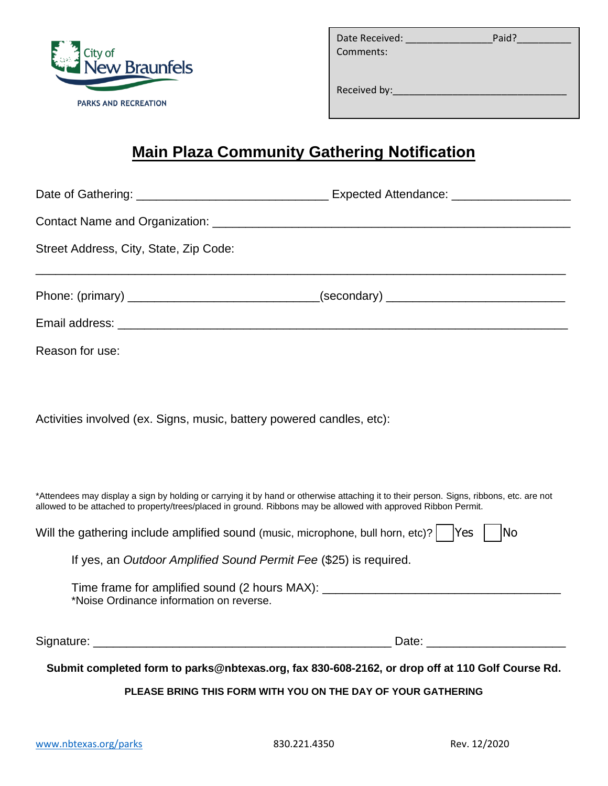

| Date Received: | Paid? |
|----------------|-------|
| Comments:      |       |
|                |       |

Received by:

## **Main Plaza Community Gathering Notification**

| Street Address, City, State, Zip Code:                                |                                                                                                                                                                                                                                                           |
|-----------------------------------------------------------------------|-----------------------------------------------------------------------------------------------------------------------------------------------------------------------------------------------------------------------------------------------------------|
|                                                                       |                                                                                                                                                                                                                                                           |
|                                                                       |                                                                                                                                                                                                                                                           |
| Reason for use:                                                       |                                                                                                                                                                                                                                                           |
| Activities involved (ex. Signs, music, battery powered candles, etc): |                                                                                                                                                                                                                                                           |
|                                                                       | *Attendees may display a sign by holding or carrying it by hand or otherwise attaching it to their person. Signs, ribbons, etc. are not<br>allowed to be attached to property/trees/placed in ground. Ribbons may be allowed with approved Ribbon Permit. |
|                                                                       | Will the gathering include amplified sound (music, microphone, bull horn, etc)?   Yes<br><b>No</b>                                                                                                                                                        |
|                                                                       | If yes, an Outdoor Amplified Sound Permit Fee (\$25) is required.                                                                                                                                                                                         |
| *Noise Ordinance information on reverse.                              | Time frame for amplified sound (2 hours MAX): __________________________________                                                                                                                                                                          |
|                                                                       |                                                                                                                                                                                                                                                           |
|                                                                       | Submit completed form to parks@nbtexas.org, fax 830-608-2162, or drop off at 110 Golf Course Rd.<br>$D = 105$ primary the senior metric $\overline{M}$ and the pay of valing a sturbule.                                                                  |

**PLEASE BRING THIS FORM WITH YOU ON THE DAY OF YOUR GATHERING**